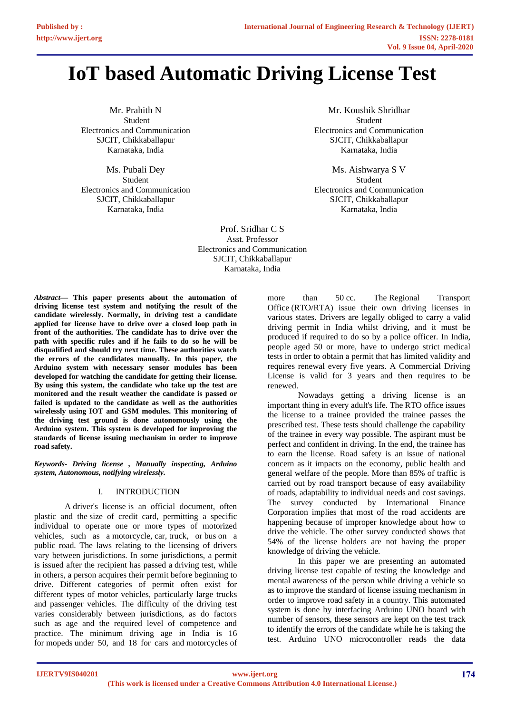# **IoT based Automatic Driving License Test**

Mr. Prahith N Student Electronics and Communication SJCIT, Chikkaballapur Karnataka, India

Ms. Pubali Dey Student Electronics and Communication SJCIT, Chikkaballapur Karnataka, India

Mr. Koushik Shridhar Student Electronics and Communication SJCIT, Chikkaballapur Karnataka, India

Ms. Aishwarya S V Student Electronics and Communication SJCIT, Chikkaballapur Karnataka, India

Prof. Sridhar C S Asst. Professor Electronics and Communication SJCIT, Chikkaballapur Karnataka, India

*Abstract***— This paper presents about the automation of driving license test system and notifying the result of the candidate wirelessly. Normally, in driving test a candidate applied for license have to drive over a closed loop path in front of the authorities. The candidate has to drive over the path with specific rules and if he fails to do so he will be disqualified and should try next time. These authorities watch the errors of the candidates manually. In this paper, the Arduino system with necessary sensor modules has been developed for watching the candidate for getting their license. By using this system, the candidate who take up the test are monitored and the result weather the candidate is passed or failed is updated to the candidate as well as the authorities wirelessly using IOT and GSM modules. This monitoring of the driving test ground is done autonomously using the Arduino system. This system is developed for improving the standards of license issuing mechanism in order to improve road safety.**

*Keywords- Driving license , Manually inspecting, Arduino system, Autonomous, notifying wirelessly.* 

# I. INTRODUCTION

A driver's license is an official document, often plastic and the size of credit card, permitting a specific individual to operate one or more types of motorized vehicles, such as a [motorcycle,](https://en.wikipedia.org/wiki/Motorcycle) [car,](https://en.wikipedia.org/wiki/Car) [truck,](https://en.wikipedia.org/wiki/Truck) or [bus](https://en.wikipedia.org/wiki/Bus) on a public road. The laws relating to the licensing of drivers vary between jurisdictions. In some jurisdictions, a permit is issued after the recipient has passed a [driving test,](https://en.wikipedia.org/wiki/Driving_test) while in others, a person acquires their permit before beginning to drive. Different categories of permit often exist for different types of motor vehicles, particularly large trucks and passenger vehicles. The difficulty of the driving test varies considerably between jurisdictions, as do factors such as age and the required level of competence and practice. The minimum driving age in India is 16 fo[r mopeds](https://en.wikipedia.org/wiki/Moped) under 50, and 18 for cars and [motorcycles](https://en.wikipedia.org/wiki/Motorcycle) of

more than 50 cc. The Regional Transport [Office](https://en.wikipedia.org/wiki/Regional_Transport_Office) (RTO/RTA) issue their own driving licenses in various states. Drivers are legally obliged to carry a valid driving permit in India whilst driving, and it must be produced if required to do so by a police officer. In India, people aged 50 or more, have to undergo strict medical tests in order to obtain a permit that has limited validity and requires renewal every five years. A Commercial Driving License is valid for 3 years and then requires to be renewed.

Nowadays getting a driving license is an important thing in every adult's life. The RTO office issues the license to a trainee provided the trainee passes the prescribed test. These tests should challenge the capability of the trainee in every way possible. The aspirant must be perfect and confident in driving. In the end, the trainee has to earn the license. Road safety is an issue of national concern as it impacts on the economy, public health and general welfare of the people. More than 85% of traffic is carried out by road transport because of easy availability of roads, adaptability to individual needs and cost savings. The survey conducted by International Finance Corporation implies that most of the road accidents are happening because of improper knowledge about how to drive the vehicle. The other survey conducted shows that 54% of the license holders are not having the proper knowledge of driving the vehicle.

In this paper we are presenting an automated driving license test capable of testing the knowledge and mental awareness of the person while driving a vehicle so as to improve the standard of license issuing mechanism in order to improve road safety in a country. This automated system is done by interfacing Arduino UNO board with number of sensors, these sensors are kept on the test track to identify the errors of the candidate while he is taking the test. Arduino UNO microcontroller reads the data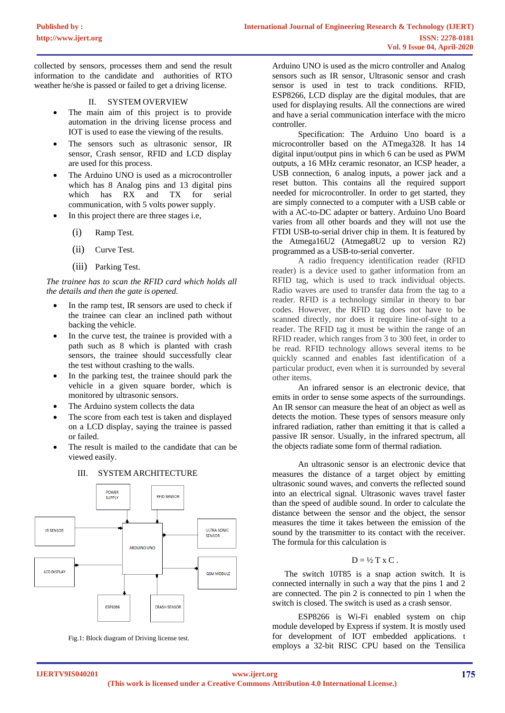collected by sensors, processes them and send the result information to the candidate and authorities of RTO weather he/she is passed or failed to get a driving license.

## II. SYSTEM OVERVIEW

- The main aim of this project is to provide automation in the driving license process and IOT is used to ease the viewing of the results.
- The sensors such as ultrasonic sensor, IR sensor, Crash sensor, RFID and LCD display are used for this process.
- The Arduino UNO is used as a microcontroller which has 8 Analog pins and 13 digital pins which has RX and TX for serial communication, with 5 volts power supply.
- In this project there are three stages i.e,
	- (i) Ramp Test.
	- (ii) Curve Test.
	- (iii) Parking Test.

*The trainee has to scan the RFID card which holds all the details and then the gate is opened.* 

- In the ramp test, IR sensors are used to check if the trainee can clear an inclined path without backing the vehicle.
- In the curve test, the trainee is provided with a path such as 8 which is planted with crash sensors, the trainee should successfully clear the test without crashing to the walls.
- In the parking test, the trainee should park the vehicle in a given square border, which is monitored by ultrasonic sensors.
- The Arduino system collects the data
- The score from each test is taken and displayed on a LCD display, saying the trainee is passed or failed.
- The result is mailed to the candidate that can be viewed easily.



III. SYSTEM ARCHITECTURE

Fig.1: Block diagram of Driving license test.

Arduino UNO is used as the micro controller and Analog sensors such as IR sensor, Ultrasonic sensor and crash sensor is used in test to track conditions. RFID, ESP8266, LCD display are the digital modules, that are used for displaying results. All the connections are wired and have a serial communication interface with the micro controller.

Specification: The Arduino Uno board is a [microcontroller based o](https://www.watelectronics.com/8051-microcontroller-architecture/)n the ATmega328. It has 14 digital input/output pins in which 6 can be used as PWM outputs, a 16 MHz ceramic resonator, an ICSP header, a USB connection, 6 analog inputs, a power jack and a reset button. This contains all the required support needed for microcontroller. In order to get started, they are simply connected to a computer with a USB cable or with a AC-to-DC adapter or battery. Arduino Uno Board varies from all other boards and they will not use the FTDI USB-to-serial driver chip in them. It is featured by the Atmega16U2 (Atmega8U2 up to version R2) programmed as a USB-to-serial converter.

A radio frequency identification reader (RFID reader) is a device used to gather information from an RFID tag, which is used to track individual objects. Radio waves are used to transfer data from the tag to a reader. RFID is a technology similar in theory to bar codes. However, the RFID tag does not have to be scanned directly, nor does it require line-of-sight to a reader. The RFID tag it must be within the range of an RFID reader, which ranges from 3 to 300 feet, in order to be read. RFID technology allows several items to be quickly scanned and enables fast identification of a particular product, even when it is surrounded by several other items.

An [infrared sensor i](https://www.elprocus.com/ir-remote-control-basics-operation-application/)s an electronic device, that emits in order to sense some aspects of the surroundings. An IR sensor can measure the heat of an object as well as detects the motion. These types of sensors measure only infrared radiation, rather than emitting it that is called a [passive IR sensor. U](https://www.elprocus.com/passive-infrared-pir-sensor-with-applications/)sually, in the infrared spectrum, all the objects radiate some form of thermal radiation.

An ultrasonic sensor is an electronic device that measures the distance of a target object by emitting ultrasonic sound waves, and converts the reflected sound into an electrical signal. Ultrasonic waves travel faster than the speed of audible sound. In order to calculate the distance between the sensor and the object, the sensor measures the time it takes between the emission of the sound by the transmitter to its contact with the receiver. The formula for this calculation is

# $D = \frac{1}{2} T x C$ .

The switch 10T85 is a snap action switch. It is connected internally in such a way that the pins 1 and 2 are connected. The pin 2 is connected to pin 1 when the switch is closed. The switch is used as a crash sensor.

ESP8266 is Wi-Fi enabled system on chip module developed by Express if system. It is mostly used for development of IOT embedded applications. t employs a 32-bit RISC CPU based on the Tensilica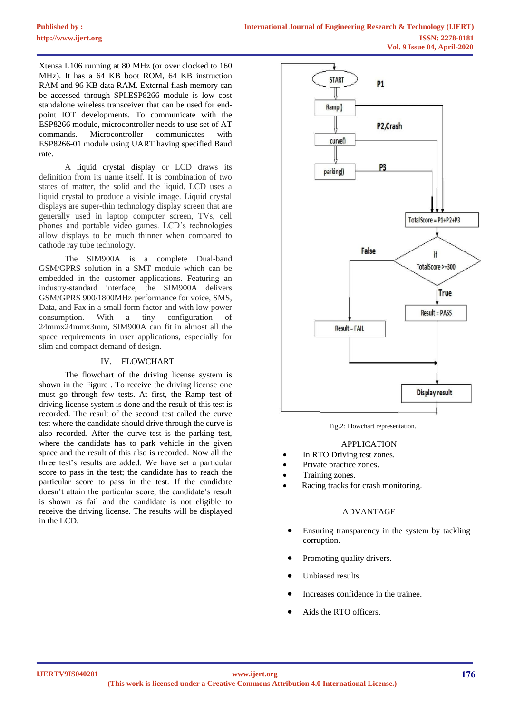Xtensa L106 running at 80 MHz (or over clocked to 160 MHz). It has a 64 KB boot ROM, 64 KB instruction RAM and 96 KB data RAM. External flash memory can be accessed through SPI.ESP8266 module is low cost standalone wireless transceiver that can be used for endpoint IOT developments. To communicate with the ESP8266 module, microcontroller needs to use set of AT commands. Microcontroller communicates with ESP8266-01 module using UART having specified Baud rate.

A liquid crystal display or LCD draws its definition from its name itself. It is combination of two states of matter, the solid and the liquid. LCD uses a liquid crystal to produce a visible image. Liquid crystal displays are super-thin technology display screen that are generally used in laptop computer screen, TVs, cell phones and portable video games. LCD's technologies allow displays to be much thinner when compared to cathode ray tube technology.

The SIM900A is a complete Dual-band GSM/GPRS solution in a SMT module which can be embedded in the customer applications. Featuring an industry-standard interface, the SIM900A delivers GSM/GPRS 900/1800MHz performance for voice, SMS, Data, and Fax in a small form factor and with low power consumption. With a tiny configuration of 24mmx24mmx3mm, SIM900A can fit in almost all the space requirements in user applications, especially for slim and compact demand of design.

## IV. FLOWCHART

The flowchart of the driving license system is shown in the Figure . To receive the driving license one must go through few tests. At first, the Ramp test of driving license system is done and the result of this test is recorded. The result of the second test called the curve test where the candidate should drive through the curve is also recorded. After the curve test is the parking test, where the candidate has to park vehicle in the given space and the result of this also is recorded. Now all the three test's results are added. We have set a particular score to pass in the test; the candidate has to reach the particular score to pass in the test. If the candidate doesn't attain the particular score, the candidate's result is shown as fail and the candidate is not eligible to receive the driving license. The results will be displayed in the LCD.



Fig.2: Flowchart representation.

#### APPLICATION

- In RTO Driving test zones.
- Private practice zones.
- Training zones.
- Racing tracks for crash monitoring.

#### ADVANTAGE

- Ensuring transparency in the system by tackling corruption.
- Promoting quality drivers.
- Unbiased results.
- Increases confidence in the trainee.
- Aids the RTO officers.